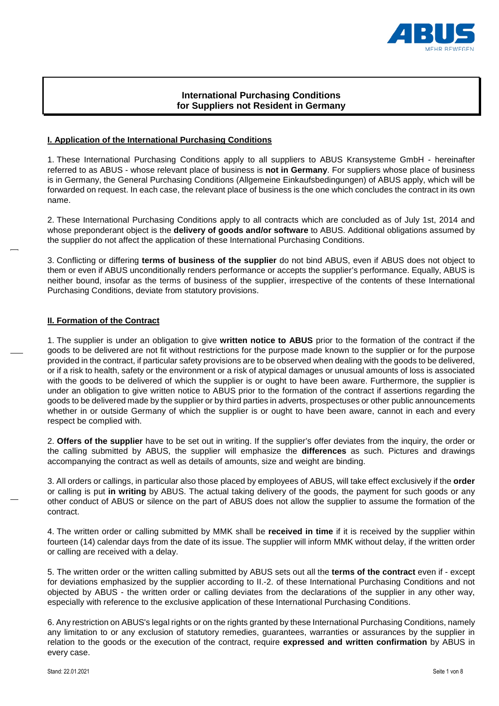

# **International Purchasing Conditions for Suppliers not Resident in Germany**

### **I. Application of the International Purchasing Conditions**

1. These International Purchasing Conditions apply to all suppliers to ABUS Kransysteme GmbH - hereinafter referred to as ABUS - whose relevant place of business is **not in Germany**. For suppliers whose place of business is in Germany, the General Purchasing Conditions (Allgemeine Einkaufsbedingungen) of ABUS apply, which will be forwarded on request. In each case, the relevant place of business is the one which concludes the contract in its own name.

2. These International Purchasing Conditions apply to all contracts which are concluded as of July 1st, 2014 and whose preponderant object is the **delivery of goods and/or software** to ABUS. Additional obligations assumed by the supplier do not affect the application of these International Purchasing Conditions.

3. Conflicting or differing **terms of business of the supplier** do not bind ABUS, even if ABUS does not object to them or even if ABUS unconditionally renders performance or accepts the supplier's performance. Equally, ABUS is neither bound, insofar as the terms of business of the supplier, irrespective of the contents of these International Purchasing Conditions, deviate from statutory provisions.

### **II. Formation of the Contract**

1. The supplier is under an obligation to give **written notice to ABUS** prior to the formation of the contract if the goods to be delivered are not fit without restrictions for the purpose made known to the supplier or for the purpose provided in the contract, if particular safety provisions are to be observed when dealing with the goods to be delivered, or if a risk to health, safety or the environment or a risk of atypical damages or unusual amounts of loss is associated with the goods to be delivered of which the supplier is or ought to have been aware. Furthermore, the supplier is under an obligation to give written notice to ABUS prior to the formation of the contract if assertions regarding the goods to be delivered made by the supplier or by third parties in adverts, prospectuses or other public announcements whether in or outside Germany of which the supplier is or ought to have been aware, cannot in each and every respect be complied with.

2. **Offers of the supplier** have to be set out in writing. If the supplier's offer deviates from the inquiry, the order or the calling submitted by ABUS, the supplier will emphasize the **differences** as such. Pictures and drawings accompanying the contract as well as details of amounts, size and weight are binding.

3. All orders or callings, in particular also those placed by employees of ABUS, will take effect exclusively if the **order** or calling is put **in writing** by ABUS. The actual taking delivery of the goods, the payment for such goods or any other conduct of ABUS or silence on the part of ABUS does not allow the supplier to assume the formation of the contract.

4. The written order or calling submitted by MMK shall be **received in time** if it is received by the supplier within fourteen (14) calendar days from the date of its issue. The supplier will inform MMK without delay, if the written order or calling are received with a delay.

5. The written order or the written calling submitted by ABUS sets out all the **terms of the contract** even if - except for deviations emphasized by the supplier according to II.-2. of these International Purchasing Conditions and not objected by ABUS - the written order or calling deviates from the declarations of the supplier in any other way, especially with reference to the exclusive application of these International Purchasing Conditions.

6. Any restriction on ABUS's legal rights or on the rights granted by these International Purchasing Conditions, namely any limitation to or any exclusion of statutory remedies, guarantees, warranties or assurances by the supplier in relation to the goods or the execution of the contract, require **expressed and written confirmation** by ABUS in every case.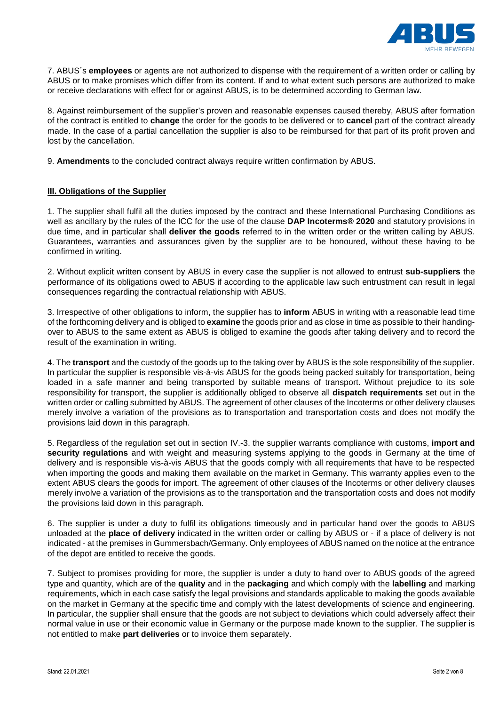

7. ABUS´s **employees** or agents are not authorized to dispense with the requirement of a written order or calling by ABUS or to make promises which differ from its content. If and to what extent such persons are authorized to make or receive declarations with effect for or against ABUS, is to be determined according to German law.

8. Against reimbursement of the supplier's proven and reasonable expenses caused thereby, ABUS after formation of the contract is entitled to **change** the order for the goods to be delivered or to **cancel** part of the contract already made. In the case of a partial cancellation the supplier is also to be reimbursed for that part of its profit proven and lost by the cancellation.

9. **Amendments** to the concluded contract always require written confirmation by ABUS.

### **III. Obligations of the Supplier**

1. The supplier shall fulfil all the duties imposed by the contract and these International Purchasing Conditions as well as ancillary by the rules of the ICC for the use of the clause **DAP Incoterms® 2020** and statutory provisions in due time, and in particular shall **deliver the goods** referred to in the written order or the written calling by ABUS. Guarantees, warranties and assurances given by the supplier are to be honoured, without these having to be confirmed in writing.

2. Without explicit written consent by ABUS in every case the supplier is not allowed to entrust **sub-suppliers** the performance of its obligations owed to ABUS if according to the applicable law such entrustment can result in legal consequences regarding the contractual relationship with ABUS.

3. Irrespective of other obligations to inform, the supplier has to **inform** ABUS in writing with a reasonable lead time of the forthcoming delivery and is obliged to **examine** the goods prior and as close in time as possible to their handingover to ABUS to the same extent as ABUS is obliged to examine the goods after taking delivery and to record the result of the examination in writing.

4. The **transport** and the custody of the goods up to the taking over by ABUS is the sole responsibility of the supplier. In particular the supplier is responsible vis-à-vis ABUS for the goods being packed suitably for transportation, being loaded in a safe manner and being transported by suitable means of transport. Without prejudice to its sole responsibility for transport, the supplier is additionally obliged to observe all **dispatch requirements** set out in the written order or calling submitted by ABUS. The agreement of other clauses of the Incoterms or other delivery clauses merely involve a variation of the provisions as to transportation and transportation costs and does not modify the provisions laid down in this paragraph.

5. Regardless of the regulation set out in section IV.-3. the supplier warrants compliance with customs, **import and security regulations** and with weight and measuring systems applying to the goods in Germany at the time of delivery and is responsible vis-à-vis ABUS that the goods comply with all requirements that have to be respected when importing the goods and making them available on the market in Germany. This warranty applies even to the extent ABUS clears the goods for import. The agreement of other clauses of the Incoterms or other delivery clauses merely involve a variation of the provisions as to the transportation and the transportation costs and does not modify the provisions laid down in this paragraph.

6. The supplier is under a duty to fulfil its obligations timeously and in particular hand over the goods to ABUS unloaded at the **place of delivery** indicated in the written order or calling by ABUS or - if a place of delivery is not indicated - at the premises in Gummersbach/Germany. Only employees of ABUS named on the notice at the entrance of the depot are entitled to receive the goods.

7. Subject to promises providing for more, the supplier is under a duty to hand over to ABUS goods of the agreed type and quantity, which are of the **quality** and in the **packaging** and which comply with the **labelling** and marking requirements, which in each case satisfy the legal provisions and standards applicable to making the goods available on the market in Germany at the specific time and comply with the latest developments of science and engineering. In particular, the supplier shall ensure that the goods are not subject to deviations which could adversely affect their normal value in use or their economic value in Germany or the purpose made known to the supplier. The supplier is not entitled to make **part deliveries** or to invoice them separately.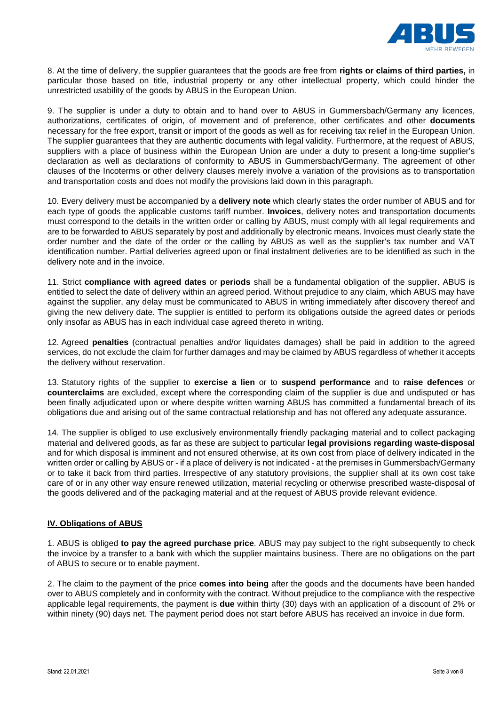

8. At the time of delivery, the supplier guarantees that the goods are free from **rights or claims of third parties,** in particular those based on title, industrial property or any other intellectual property, which could hinder the unrestricted usability of the goods by ABUS in the European Union.

9. The supplier is under a duty to obtain and to hand over to ABUS in Gummersbach/Germany any licences, authorizations, certificates of origin, of movement and of preference, other certificates and other **documents** necessary for the free export, transit or import of the goods as well as for receiving tax relief in the European Union. The supplier guarantees that they are authentic documents with legal validity. Furthermore, at the request of ABUS, suppliers with a place of business within the European Union are under a duty to present a long-time supplier's declaration as well as declarations of conformity to ABUS in Gummersbach/Germany. The agreement of other clauses of the Incoterms or other delivery clauses merely involve a variation of the provisions as to transportation and transportation costs and does not modify the provisions laid down in this paragraph.

10. Every delivery must be accompanied by a **delivery note** which clearly states the order number of ABUS and for each type of goods the applicable customs tariff number. **Invoices**, delivery notes and transportation documents must correspond to the details in the written order or calling by ABUS, must comply with all legal requirements and are to be forwarded to ABUS separately by post and additionally by electronic means. Invoices must clearly state the order number and the date of the order or the calling by ABUS as well as the supplier's tax number and VAT identification number. Partial deliveries agreed upon or final instalment deliveries are to be identified as such in the delivery note and in the invoice.

11. Strict **compliance with agreed dates** or **periods** shall be a fundamental obligation of the supplier. ABUS is entitled to select the date of delivery within an agreed period. Without prejudice to any claim, which ABUS may have against the supplier, any delay must be communicated to ABUS in writing immediately after discovery thereof and giving the new delivery date. The supplier is entitled to perform its obligations outside the agreed dates or periods only insofar as ABUS has in each individual case agreed thereto in writing.

12. Agreed **penalties** (contractual penalties and/or liquidates damages) shall be paid in addition to the agreed services, do not exclude the claim for further damages and may be claimed by ABUS regardless of whether it accepts the delivery without reservation.

13. Statutory rights of the supplier to **exercise a lien** or to **suspend performance** and to **raise defences** or **counterclaims** are excluded, except where the corresponding claim of the supplier is due and undisputed or has been finally adjudicated upon or where despite written warning ABUS has committed a fundamental breach of its obligations due and arising out of the same contractual relationship and has not offered any adequate assurance.

14. The supplier is obliged to use exclusively environmentally friendly packaging material and to collect packaging material and delivered goods, as far as these are subject to particular **legal provisions regarding waste-disposal** and for which disposal is imminent and not ensured otherwise, at its own cost from place of delivery indicated in the written order or calling by ABUS or - if a place of delivery is not indicated - at the premises in Gummersbach/Germany or to take it back from third parties. Irrespective of any statutory provisions, the supplier shall at its own cost take care of or in any other way ensure renewed utilization, material recycling or otherwise prescribed waste-disposal of the goods delivered and of the packaging material and at the request of ABUS provide relevant evidence.

#### **IV. Obligations of ABUS**

1. ABUS is obliged **to pay the agreed purchase price**. ABUS may pay subject to the right subsequently to check the invoice by a transfer to a bank with which the supplier maintains business. There are no obligations on the part of ABUS to secure or to enable payment.

2. The claim to the payment of the price **comes into being** after the goods and the documents have been handed over to ABUS completely and in conformity with the contract. Without prejudice to the compliance with the respective applicable legal requirements, the payment is **due** within thirty (30) days with an application of a discount of 2% or within ninety (90) days net. The payment period does not start before ABUS has received an invoice in due form.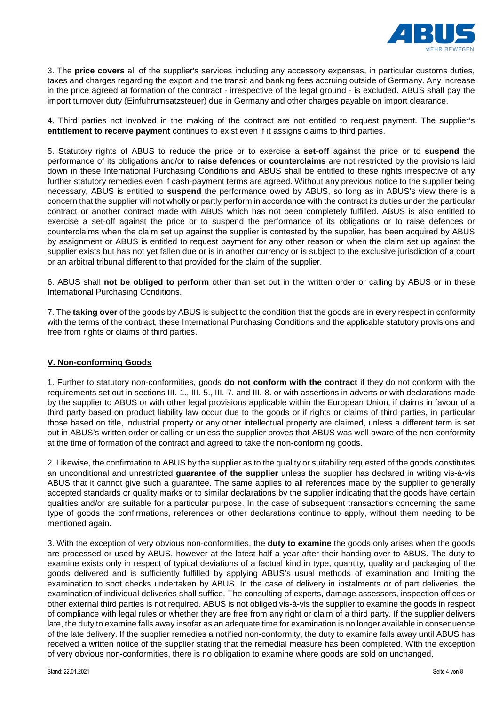

3. The **price covers** all of the supplier's services including any accessory expenses, in particular customs duties, taxes and charges regarding the export and the transit and banking fees accruing outside of Germany. Any increase in the price agreed at formation of the contract - irrespective of the legal ground - is excluded. ABUS shall pay the import turnover duty (Einfuhrumsatzsteuer) due in Germany and other charges payable on import clearance.

4. Third parties not involved in the making of the contract are not entitled to request payment. The supplier's **entitlement to receive payment** continues to exist even if it assigns claims to third parties.

5. Statutory rights of ABUS to reduce the price or to exercise a **set-off** against the price or to **suspend** the performance of its obligations and/or to **raise defences** or **counterclaims** are not restricted by the provisions laid down in these International Purchasing Conditions and ABUS shall be entitled to these rights irrespective of any further statutory remedies even if cash-payment terms are agreed. Without any previous notice to the supplier being necessary, ABUS is entitled to **suspend** the performance owed by ABUS, so long as in ABUS's view there is a concern that the supplier will not wholly or partly perform in accordance with the contract its duties under the particular contract or another contract made with ABUS which has not been completely fulfilled. ABUS is also entitled to exercise a set-off against the price or to suspend the performance of its obligations or to raise defences or counterclaims when the claim set up against the supplier is contested by the supplier, has been acquired by ABUS by assignment or ABUS is entitled to request payment for any other reason or when the claim set up against the supplier exists but has not yet fallen due or is in another currency or is subject to the exclusive jurisdiction of a court or an arbitral tribunal different to that provided for the claim of the supplier.

6. ABUS shall **not be obliged to perform** other than set out in the written order or calling by ABUS or in these International Purchasing Conditions.

7. The **taking over** of the goods by ABUS is subject to the condition that the goods are in every respect in conformity with the terms of the contract, these International Purchasing Conditions and the applicable statutory provisions and free from rights or claims of third parties.

## **V. Non-conforming Goods**

1. Further to statutory non-conformities, goods **do not conform with the contract** if they do not conform with the requirements set out in sections III.-1., III.-5., III.-7. and III.-8. or with assertions in adverts or with declarations made by the supplier to ABUS or with other legal provisions applicable within the European Union, if claims in favour of a third party based on product liability law occur due to the goods or if rights or claims of third parties, in particular those based on title, industrial property or any other intellectual property are claimed, unless a different term is set out in ABUS's written order or calling or unless the supplier proves that ABUS was well aware of the non-conformity at the time of formation of the contract and agreed to take the non-conforming goods.

2. Likewise, the confirmation to ABUS by the supplier as to the quality or suitability requested of the goods constitutes an unconditional and unrestricted **guarantee of the supplier** unless the supplier has declared in writing vis-à-vis ABUS that it cannot give such a guarantee. The same applies to all references made by the supplier to generally accepted standards or quality marks or to similar declarations by the supplier indicating that the goods have certain qualities and/or are suitable for a particular purpose. In the case of subsequent transactions concerning the same type of goods the confirmations, references or other declarations continue to apply, without them needing to be mentioned again.

3. With the exception of very obvious non-conformities, the **duty to examine** the goods only arises when the goods are processed or used by ABUS, however at the latest half a year after their handing-over to ABUS. The duty to examine exists only in respect of typical deviations of a factual kind in type, quantity, quality and packaging of the goods delivered and is sufficiently fulfilled by applying ABUS's usual methods of examination and limiting the examination to spot checks undertaken by ABUS. In the case of delivery in instalments or of part deliveries, the examination of individual deliveries shall suffice. The consulting of experts, damage assessors, inspection offices or other external third parties is not required. ABUS is not obliged vis-à-vis the supplier to examine the goods in respect of compliance with legal rules or whether they are free from any right or claim of a third party. If the supplier delivers late, the duty to examine falls away insofar as an adequate time for examination is no longer available in consequence of the late delivery. If the supplier remedies a notified non-conformity, the duty to examine falls away until ABUS has received a written notice of the supplier stating that the remedial measure has been completed. With the exception of very obvious non-conformities, there is no obligation to examine where goods are sold on unchanged.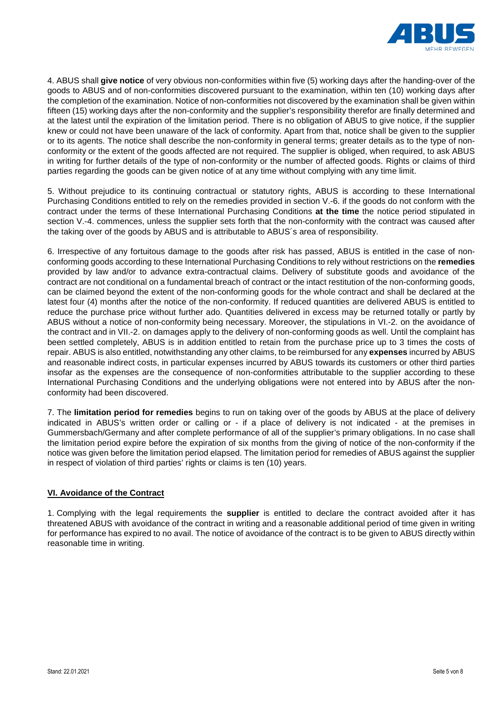

4. ABUS shall **give notice** of very obvious non-conformities within five (5) working days after the handing-over of the goods to ABUS and of non-conformities discovered pursuant to the examination, within ten (10) working days after the completion of the examination. Notice of non-conformities not discovered by the examination shall be given within fifteen (15) working days after the non-conformity and the supplier's responsibility therefor are finally determined and at the latest until the expiration of the limitation period. There is no obligation of ABUS to give notice, if the supplier knew or could not have been unaware of the lack of conformity. Apart from that, notice shall be given to the supplier or to its agents. The notice shall describe the non-conformity in general terms; greater details as to the type of nonconformity or the extent of the goods affected are not required. The supplier is obliged, when required, to ask ABUS in writing for further details of the type of non-conformity or the number of affected goods. Rights or claims of third parties regarding the goods can be given notice of at any time without complying with any time limit.

5. Without prejudice to its continuing contractual or statutory rights, ABUS is according to these International Purchasing Conditions entitled to rely on the remedies provided in section V.-6. if the goods do not conform with the contract under the terms of these International Purchasing Conditions **at the time** the notice period stipulated in section V.-4. commences, unless the supplier sets forth that the non-conformity with the contract was caused after the taking over of the goods by ABUS and is attributable to ABUS´s area of responsibility.

6. Irrespective of any fortuitous damage to the goods after risk has passed, ABUS is entitled in the case of nonconforming goods according to these International Purchasing Conditions to rely without restrictions on the **remedies** provided by law and/or to advance extra-contractual claims. Delivery of substitute goods and avoidance of the contract are not conditional on a fundamental breach of contract or the intact restitution of the non-conforming goods, can be claimed beyond the extent of the non-conforming goods for the whole contract and shall be declared at the latest four (4) months after the notice of the non-conformity. If reduced quantities are delivered ABUS is entitled to reduce the purchase price without further ado. Quantities delivered in excess may be returned totally or partly by ABUS without a notice of non-conformity being necessary. Moreover, the stipulations in VI.-2. on the avoidance of the contract and in VII.-2. on damages apply to the delivery of non-conforming goods as well. Until the complaint has been settled completely, ABUS is in addition entitled to retain from the purchase price up to 3 times the costs of repair. ABUS is also entitled, notwithstanding any other claims, to be reimbursed for any **expenses** incurred by ABUS and reasonable indirect costs, in particular expenses incurred by ABUS towards its customers or other third parties insofar as the expenses are the consequence of non-conformities attributable to the supplier according to these International Purchasing Conditions and the underlying obligations were not entered into by ABUS after the nonconformity had been discovered.

7. The **limitation period for remedies** begins to run on taking over of the goods by ABUS at the place of delivery indicated in ABUS's written order or calling or - if a place of delivery is not indicated - at the premises in Gummersbach/Germany and after complete performance of all of the supplier's primary obligations. In no case shall the limitation period expire before the expiration of six months from the giving of notice of the non-conformity if the notice was given before the limitation period elapsed. The limitation period for remedies of ABUS against the supplier in respect of violation of third parties' rights or claims is ten (10) years.

## **VI. Avoidance of the Contract**

1. Complying with the legal requirements the **supplier** is entitled to declare the contract avoided after it has threatened ABUS with avoidance of the contract in writing and a reasonable additional period of time given in writing for performance has expired to no avail. The notice of avoidance of the contract is to be given to ABUS directly within reasonable time in writing.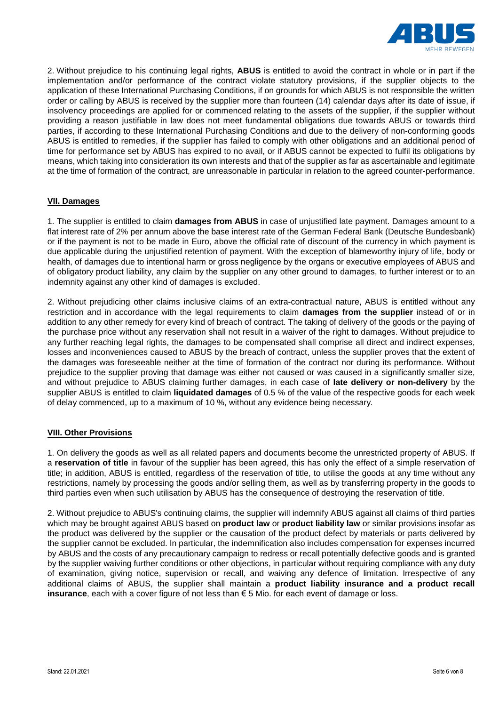

2. Without prejudice to his continuing legal rights, **ABUS** is entitled to avoid the contract in whole or in part if the implementation and/or performance of the contract violate statutory provisions, if the supplier objects to the application of these International Purchasing Conditions, if on grounds for which ABUS is not responsible the written order or calling by ABUS is received by the supplier more than fourteen (14) calendar days after its date of issue, if insolvency proceedings are applied for or commenced relating to the assets of the supplier, if the supplier without providing a reason justifiable in law does not meet fundamental obligations due towards ABUS or towards third parties, if according to these International Purchasing Conditions and due to the delivery of non-conforming goods ABUS is entitled to remedies, if the supplier has failed to comply with other obligations and an additional period of time for performance set by ABUS has expired to no avail, or if ABUS cannot be expected to fulfil its obligations by means, which taking into consideration its own interests and that of the supplier as far as ascertainable and legitimate at the time of formation of the contract, are unreasonable in particular in relation to the agreed counter-performance.

### **VII. Damages**

1. The supplier is entitled to claim **damages from ABUS** in case of unjustified late payment. Damages amount to a flat interest rate of 2% per annum above the base interest rate of the German Federal Bank (Deutsche Bundesbank) or if the payment is not to be made in Euro, above the official rate of discount of the currency in which payment is due applicable during the unjustified retention of payment. With the exception of blameworthy injury of life, body or health, of damages due to intentional harm or gross negligence by the organs or executive employees of ABUS and of obligatory product liability, any claim by the supplier on any other ground to damages, to further interest or to an indemnity against any other kind of damages is excluded.

2. Without prejudicing other claims inclusive claims of an extra-contractual nature, ABUS is entitled without any restriction and in accordance with the legal requirements to claim **damages from the supplier** instead of or in addition to any other remedy for every kind of breach of contract. The taking of delivery of the goods or the paying of the purchase price without any reservation shall not result in a waiver of the right to damages. Without prejudice to any further reaching legal rights, the damages to be compensated shall comprise all direct and indirect expenses, losses and inconveniences caused to ABUS by the breach of contract, unless the supplier proves that the extent of the damages was foreseeable neither at the time of formation of the contract nor during its performance. Without prejudice to the supplier proving that damage was either not caused or was caused in a significantly smaller size, and without prejudice to ABUS claiming further damages, in each case of **late delivery or non-delivery** by the supplier ABUS is entitled to claim **liquidated damages** of 0.5 % of the value of the respective goods for each week of delay commenced, up to a maximum of 10 %, without any evidence being necessary.

#### **VIII. Other Provisions**

1. On delivery the goods as well as all related papers and documents become the unrestricted property of ABUS. If a **reservation of title** in favour of the supplier has been agreed, this has only the effect of a simple reservation of title; in addition, ABUS is entitled, regardless of the reservation of title, to utilise the goods at any time without any restrictions, namely by processing the goods and/or selling them, as well as by transferring property in the goods to third parties even when such utilisation by ABUS has the consequence of destroying the reservation of title.

2. Without prejudice to ABUS's continuing claims, the supplier will indemnify ABUS against all claims of third parties which may be brought against ABUS based on **product law** or **product liability law** or similar provisions insofar as the product was delivered by the supplier or the causation of the product defect by materials or parts delivered by the supplier cannot be excluded. In particular, the indemnification also includes compensation for expenses incurred by ABUS and the costs of any precautionary campaign to redress or recall potentially defective goods and is granted by the supplier waiving further conditions or other objections, in particular without requiring compliance with any duty of examination, giving notice, supervision or recall, and waiving any defence of limitation. Irrespective of any additional claims of ABUS, the supplier shall maintain a **product liability insurance and a product recall insurance**, each with a cover figure of not less than € 5 Mio. for each event of damage or loss.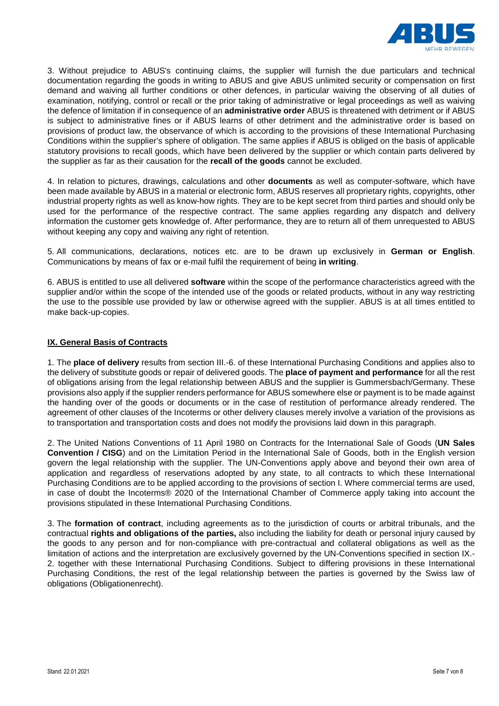

3. Without prejudice to ABUS's continuing claims, the supplier will furnish the due particulars and technical documentation regarding the goods in writing to ABUS and give ABUS unlimited security or compensation on first demand and waiving all further conditions or other defences, in particular waiving the observing of all duties of examination, notifying, control or recall or the prior taking of administrative or legal proceedings as well as waiving the defence of limitation if in consequence of an **administrative order** ABUS is threatened with detriment or if ABUS is subject to administrative fines or if ABUS learns of other detriment and the administrative order is based on provisions of product law, the observance of which is according to the provisions of these International Purchasing Conditions within the supplier's sphere of obligation. The same applies if ABUS is obliged on the basis of applicable statutory provisions to recall goods, which have been delivered by the supplier or which contain parts delivered by the supplier as far as their causation for the **recall of the goods** cannot be excluded.

4. In relation to pictures, drawings, calculations and other **documents** as well as computer-software, which have been made available by ABUS in a material or electronic form, ABUS reserves all proprietary rights, copyrights, other industrial property rights as well as know-how rights. They are to be kept secret from third parties and should only be used for the performance of the respective contract. The same applies regarding any dispatch and delivery information the customer gets knowledge of. After performance, they are to return all of them unrequested to ABUS without keeping any copy and waiving any right of retention.

5. All communications, declarations, notices etc. are to be drawn up exclusively in **German or English**. Communications by means of fax or e-mail fulfil the requirement of being **in writing**.

6. ABUS is entitled to use all delivered **software** within the scope of the performance characteristics agreed with the supplier and/or within the scope of the intended use of the goods or related products, without in any way restricting the use to the possible use provided by law or otherwise agreed with the supplier. ABUS is at all times entitled to make back-up-copies.

### **IX. General Basis of Contracts**

1. The **place of delivery** results from section III.-6. of these International Purchasing Conditions and applies also to the delivery of substitute goods or repair of delivered goods. The **place of payment and performance** for all the rest of obligations arising from the legal relationship between ABUS and the supplier is Gummersbach/Germany. These provisions also apply if the supplier renders performance for ABUS somewhere else or payment is to be made against the handing over of the goods or documents or in the case of restitution of performance already rendered. The agreement of other clauses of the Incoterms or other delivery clauses merely involve a variation of the provisions as to transportation and transportation costs and does not modify the provisions laid down in this paragraph.

2. The United Nations Conventions of 11 April 1980 on Contracts for the International Sale of Goods (**UN Sales Convention / CISG**) and on the Limitation Period in the International Sale of Goods, both in the English version govern the legal relationship with the supplier. The UN-Conventions apply above and beyond their own area of application and regardless of reservations adopted by any state, to all contracts to which these International Purchasing Conditions are to be applied according to the provisions of section I. Where commercial terms are used, in case of doubt the Incoterms® 2020 of the International Chamber of Commerce apply taking into account the provisions stipulated in these International Purchasing Conditions.

3. The **formation of contract**, including agreements as to the jurisdiction of courts or arbitral tribunals, and the contractual **rights and obligations of the parties,** also including the liability for death or personal injury caused by the goods to any person and for non-compliance with pre-contractual and collateral obligations as well as the limitation of actions and the interpretation are exclusively governed by the UN-Conventions specified in section IX.- 2. together with these International Purchasing Conditions. Subject to differing provisions in these International Purchasing Conditions, the rest of the legal relationship between the parties is governed by the Swiss law of obligations (Obligationenrecht).